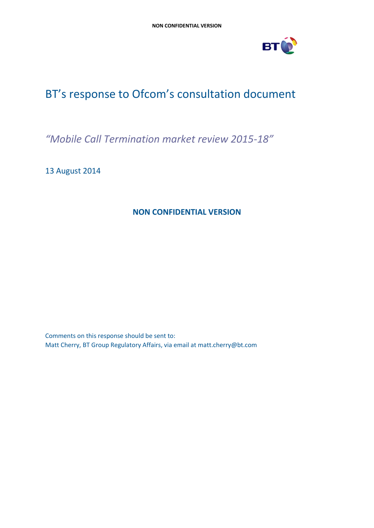

# BT's response to Ofcom's consultation document

*"Mobile Call Termination market review 2015-18"*

13 August 2014

## **NON CONFIDENTIAL VERSION**

Comments on this response should be sent to: Matt Cherry, BT Group Regulatory Affairs, via email at matt.cherry@bt.com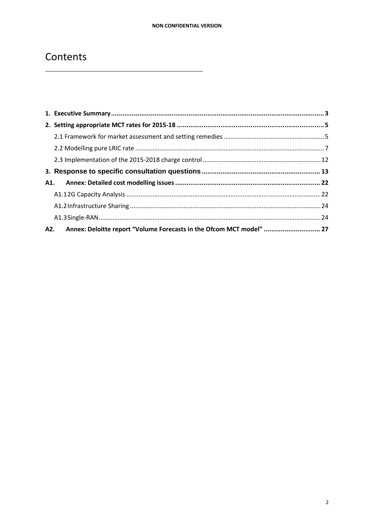## Contents

| A2. Annex: Deloitte report "Volume Forecasts in the Ofcom MCT model"  27 |  |
|--------------------------------------------------------------------------|--|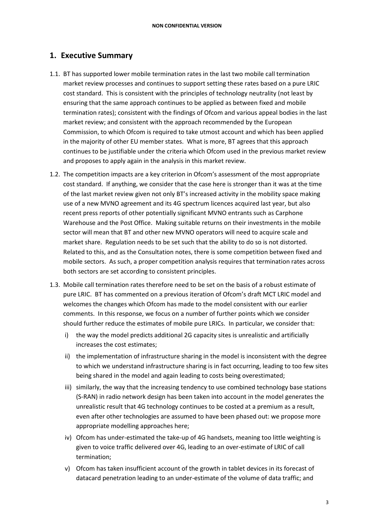## <span id="page-2-0"></span>**1. Executive Summary**

- 1.1. BT has supported lower mobile termination rates in the last two mobile call termination market review processes and continues to support setting these rates based on a pure LRIC cost standard. This is consistent with the principles of technology neutrality (not least by ensuring that the same approach continues to be applied as between fixed and mobile termination rates); consistent with the findings of Ofcom and various appeal bodies in the last market review; and consistent with the approach recommended by the European Commission, to which Ofcom is required to take utmost account and which has been applied in the majority of other EU member states. What is more, BT agrees that this approach continues to be justifiable under the criteria which Ofcom used in the previous market review and proposes to apply again in the analysis in this market review.
- 1.2. The competition impacts are a key criterion in Ofcom's assessment of the most appropriate cost standard. If anything, we consider that the case here is stronger than it was at the time of the last market review given not only BT's increased activity in the mobility space making use of a new MVNO agreement and its 4G spectrum licences acquired last year, but also recent press reports of other potentially significant MVNO entrants such as Carphone Warehouse and the Post Office. Making suitable returns on their investments in the mobile sector will mean that BT and other new MVNO operators will need to acquire scale and market share. Regulation needs to be set such that the ability to do so is not distorted. Related to this, and as the Consultation notes, there is some competition between fixed and mobile sectors. As such, a proper competition analysis requires that termination rates across both sectors are set according to consistent principles.
- 1.3. Mobile call termination rates therefore need to be set on the basis of a robust estimate of pure LRIC. BT has commented on a previous iteration of Ofcom's draft MCT LRIC model and welcomes the changes which Ofcom has made to the model consistent with our earlier comments. In this response, we focus on a number of further points which we consider should further reduce the estimates of mobile pure LRICs. In particular, we consider that:
	- i) the way the model predicts additional 2G capacity sites is unrealistic and artificially increases the cost estimates;
	- ii) the implementation of infrastructure sharing in the model is inconsistent with the degree to which we understand infrastructure sharing is in fact occurring, leading to too few sites being shared in the model and again leading to costs being overestimated;
	- iii) similarly, the way that the increasing tendency to use combined technology base stations (S-RAN) in radio network design has been taken into account in the model generates the unrealistic result that 4G technology continues to be costed at a premium as a result, even after other technologies are assumed to have been phased out: we propose more appropriate modelling approaches here;
	- iv) Ofcom has under-estimated the take-up of 4G handsets, meaning too little weighting is given to voice traffic delivered over 4G, leading to an over-estimate of LRIC of call termination;
	- v) Ofcom has taken insufficient account of the growth in tablet devices in its forecast of datacard penetration leading to an under-estimate of the volume of data traffic; and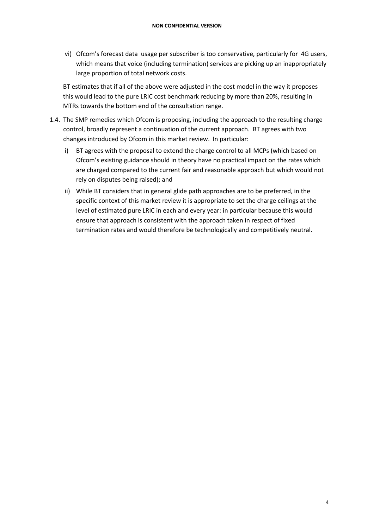vi) Ofcom's forecast data usage per subscriber is too conservative, particularly for 4G users, which means that voice (including termination) services are picking up an inappropriately large proportion of total network costs.

BT estimates that if all of the above were adjusted in the cost model in the way it proposes this would lead to the pure LRIC cost benchmark reducing by more than 20%, resulting in MTRs towards the bottom end of the consultation range.

- 1.4. The SMP remedies which Ofcom is proposing, including the approach to the resulting charge control, broadly represent a continuation of the current approach. BT agrees with two changes introduced by Ofcom in this market review. In particular:
	- i) BT agrees with the proposal to extend the charge control to all MCPs (which based on Ofcom's existing guidance should in theory have no practical impact on the rates which are charged compared to the current fair and reasonable approach but which would not rely on disputes being raised); and
	- ii) While BT considers that in general glide path approaches are to be preferred, in the specific context of this market review it is appropriate to set the charge ceilings at the level of estimated pure LRIC in each and every year: in particular because this would ensure that approach is consistent with the approach taken in respect of fixed termination rates and would therefore be technologically and competitively neutral.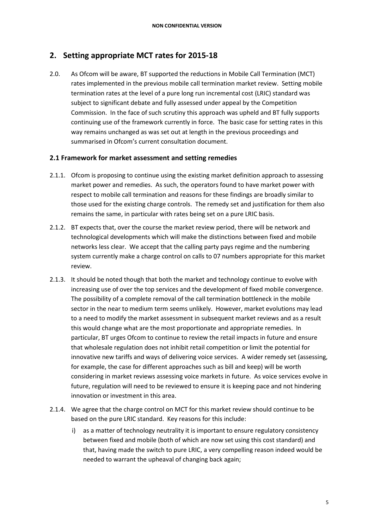## <span id="page-4-0"></span>**2. Setting appropriate MCT rates for 2015-18**

2.0. As Ofcom will be aware, BT supported the reductions in Mobile Call Termination (MCT) rates implemented in the previous mobile call termination market review. Setting mobile termination rates at the level of a pure long run incremental cost (LRIC) standard was subject to significant debate and fully assessed under appeal by the Competition Commission. In the face of such scrutiny this approach was upheld and BT fully supports continuing use of the framework currently in force. The basic case for setting rates in this way remains unchanged as was set out at length in the previous proceedings and summarised in Ofcom's current consultation document.

#### <span id="page-4-1"></span>**2.1 Framework for market assessment and setting remedies**

- 2.1.1. Ofcom is proposing to continue using the existing market definition approach to assessing market power and remedies. As such, the operators found to have market power with respect to mobile call termination and reasons for these findings are broadly similar to those used for the existing charge controls. The remedy set and justification for them also remains the same, in particular with rates being set on a pure LRIC basis.
- 2.1.2. BT expects that, over the course the market review period, there will be network and technological developments which will make the distinctions between fixed and mobile networks less clear. We accept that the calling party pays regime and the numbering system currently make a charge control on calls to 07 numbers appropriate for this market review.
- 2.1.3. It should be noted though that both the market and technology continue to evolve with increasing use of over the top services and the development of fixed mobile convergence. The possibility of a complete removal of the call termination bottleneck in the mobile sector in the near to medium term seems unlikely. However, market evolutions may lead to a need to modify the market assessment in subsequent market reviews and as a result this would change what are the most proportionate and appropriate remedies. In particular, BT urges Ofcom to continue to review the retail impacts in future and ensure that wholesale regulation does not inhibit retail competition or limit the potential for innovative new tariffs and ways of delivering voice services. A wider remedy set (assessing, for example, the case for different approaches such as bill and keep) will be worth considering in market reviews assessing voice markets in future. As voice services evolve in future, regulation will need to be reviewed to ensure it is keeping pace and not hindering innovation or investment in this area.
- 2.1.4. We agree that the charge control on MCT for this market review should continue to be based on the pure LRIC standard. Key reasons for this include:
	- i) as a matter of technology neutrality it is important to ensure regulatory consistency between fixed and mobile (both of which are now set using this cost standard) and that, having made the switch to pure LRIC, a very compelling reason indeed would be needed to warrant the upheaval of changing back again;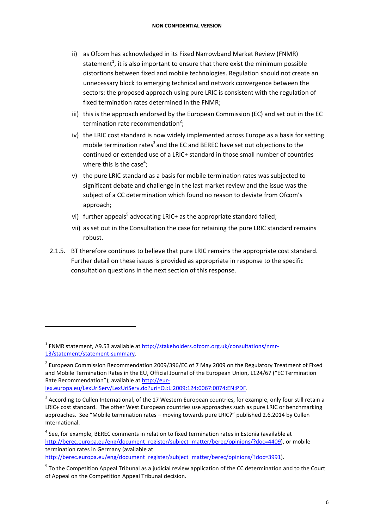- ii) as Ofcom has acknowledged in its Fixed Narrowband Market Review (FNMR) statement<sup>1</sup>, it is also important to ensure that there exist the minimum possible distortions between fixed and mobile technologies. Regulation should not create an unnecessary block to emerging technical and network convergence between the sectors: the proposed approach using pure LRIC is consistent with the regulation of fixed termination rates determined in the FNMR;
- iii) this is the approach endorsed by the European Commission (EC) and set out in the EC termination rate recommendation<sup>2</sup>;
- iv) the LRIC cost standard is now widely implemented across Europe as a basis for setting mobile termination rates<sup>3</sup> and the EC and BEREC have set out objections to the continued or extended use of a LRIC+ standard in those small number of countries where this is the case<sup>4</sup>;
- v) the pure LRIC standard as a basis for mobile termination rates was subjected to significant debate and challenge in the last market review and the issue was the subject of a CC determination which found no reason to deviate from Ofcom's approach;
- vi) further appeals<sup>5</sup> advocating LRIC+ as the appropriate standard failed;
- vii) as set out in the Consultation the case for retaining the pure LRIC standard remains robust.
- 2.1.5. BT therefore continues to believe that pure LRIC remains the appropriate cost standard. Further detail on these issues is provided as appropriate in response to the specific consultation questions in the next section of this response.

 $\overline{a}$ 

<sup>&</sup>lt;sup>1</sup> FNMR statement, A9.53 available at [http://stakeholders.ofcom.org.uk/consultations/nmr-](http://stakeholders.ofcom.org.uk/consultations/nmr-13/statement/statement-summary)[13/statement/statement-summary.](http://stakeholders.ofcom.org.uk/consultations/nmr-13/statement/statement-summary)

<sup>&</sup>lt;sup>2</sup> European Commission Recommendation 2009/396/EC of 7 May 2009 on the Regulatory Treatment of Fixed and Mobile Termination Rates in the EU, Official Journal of the European Union, L124/67 ("EC Termination Rate Recommendation"); available at [http://eur](http://eur-lex.europa.eu/LexUriServ/LexUriServ.do?uri=OJ:L:2009:124:0067:0074:EN:PDF)[lex.europa.eu/LexUriServ/LexUriServ.do?uri=OJ:L:2009:124:0067:0074:EN:PDF.](http://eur-lex.europa.eu/LexUriServ/LexUriServ.do?uri=OJ:L:2009:124:0067:0074:EN:PDF)

 $3$  According to Cullen International, of the 17 Western European countries, for example, only four still retain a LRIC+ cost standard. The other West European countries use approaches such as pure LRIC or benchmarking approaches. See "Mobile termination rates – moving towards pure LRIC?" published 2.6.2014 by Cullen International.

<sup>&</sup>lt;sup>4</sup> See, for example, BEREC comments in relation to fixed termination rates in Estonia (available at [http://berec.europa.eu/eng/document\\_register/subject\\_matter/berec/opinions/?doc=4409\)](http://berec.europa.eu/eng/document_register/subject_matter/berec/opinions/?doc=4409), or mobile termination rates in Germany (available at [http://berec.europa.eu/eng/document\\_register/subject\\_matter/berec/opinions/?doc=3991\)](http://berec.europa.eu/eng/document_register/subject_matter/berec/opinions/?doc=3991).

<sup>&</sup>lt;sup>5</sup> To the Competition Appeal Tribunal as a judicial review application of the CC determination and to the Court of Appeal on the Competition Appeal Tribunal decision.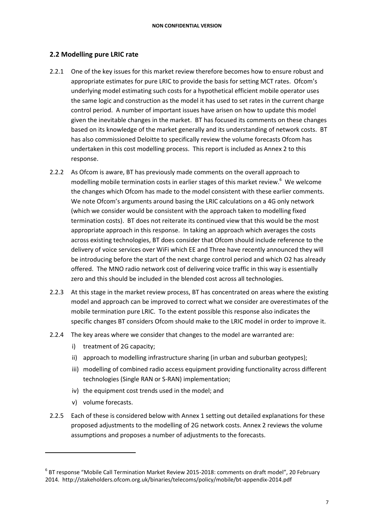#### <span id="page-6-0"></span>**2.2 Modelling pure LRIC rate**

- 2.2.1 One of the key issues for this market review therefore becomes how to ensure robust and appropriate estimates for pure LRIC to provide the basis for setting MCT rates. Ofcom's underlying model estimating such costs for a hypothetical efficient mobile operator uses the same logic and construction as the model it has used to set rates in the current charge control period. A number of important issues have arisen on how to update this model given the inevitable changes in the market. BT has focused its comments on these changes based on its knowledge of the market generally and its understanding of network costs. BT has also commissioned Deloitte to specifically review the volume forecasts Ofcom has undertaken in this cost modelling process. This report is included as Annex 2 to this response.
- 2.2.2 As Ofcom is aware, BT has previously made comments on the overall approach to modelling mobile termination costs in earlier stages of this market review.<sup>6</sup> We welcome the changes which Ofcom has made to the model consistent with these earlier comments. We note Ofcom's arguments around basing the LRIC calculations on a 4G only network (which we consider would be consistent with the approach taken to modelling fixed termination costs). BT does not reiterate its continued view that this would be the most appropriate approach in this response. In taking an approach which averages the costs across existing technologies, BT does consider that Ofcom should include reference to the delivery of voice services over WiFi which EE and Three have recently announced they will be introducing before the start of the next charge control period and which O2 has already offered. The MNO radio network cost of delivering voice traffic in this way is essentially zero and this should be included in the blended cost across all technologies.
- 2.2.3 At this stage in the market review process, BT has concentrated on areas where the existing model and approach can be improved to correct what we consider are overestimates of the mobile termination pure LRIC. To the extent possible this response also indicates the specific changes BT considers Ofcom should make to the LRIC model in order to improve it.
- 2.2.4 The key areas where we consider that changes to the model are warranted are:
	- i) treatment of 2G capacity;
	- ii) approach to modelling infrastructure sharing (in urban and suburban geotypes);
	- iii) modelling of combined radio access equipment providing functionality across different technologies (Single RAN or S-RAN) implementation;
	- iv) the equipment cost trends used in the model; and
	- v) volume forecasts.

 $\overline{a}$ 

2.2.5 Each of these is considered below with Annex 1 setting out detailed explanations for these proposed adjustments to the modelling of 2G network costs. Annex 2 reviews the volume assumptions and proposes a number of adjustments to the forecasts.

<sup>6</sup> BT response "Mobile Call Termination Market Review 2015-2018: comments on draft model", 20 February 2014. http://stakeholders.ofcom.org.uk/binaries/telecoms/policy/mobile/bt-appendix-2014.pdf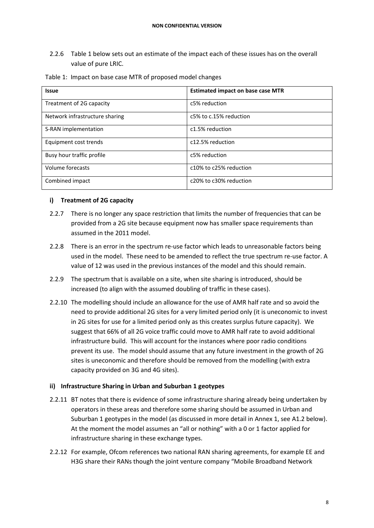2.2.6 Table 1 below sets out an estimate of the impact each of these issues has on the overall value of pure LRIC.

| <b>Issue</b>                   | <b>Estimated impact on base case MTR</b> |
|--------------------------------|------------------------------------------|
| Treatment of 2G capacity       | c5% reduction                            |
| Network infrastructure sharing | c5% to c.15% reduction                   |
| S-RAN implementation           | c1.5% reduction                          |
| Equipment cost trends          | c12.5% reduction                         |
| Busy hour traffic profile      | c5% reduction                            |
| Volume forecasts               | c10% to c25% reduction                   |
| Combined impact                | c20% to c30% reduction                   |

Table 1: Impact on base case MTR of proposed model changes

#### **i) Treatment of 2G capacity**

- 2.2.7 There is no longer any space restriction that limits the number of frequencies that can be provided from a 2G site because equipment now has smaller space requirements than assumed in the 2011 model.
- 2.2.8 There is an error in the spectrum re-use factor which leads to unreasonable factors being used in the model. These need to be amended to reflect the true spectrum re-use factor. A value of 12 was used in the previous instances of the model and this should remain.
- 2.2.9 The spectrum that is available on a site, when site sharing is introduced, should be increased (to align with the assumed doubling of traffic in these cases).
- 2.2.10 The modelling should include an allowance for the use of AMR half rate and so avoid the need to provide additional 2G sites for a very limited period only (it is uneconomic to invest in 2G sites for use for a limited period only as this creates surplus future capacity). We suggest that 66% of all 2G voice traffic could move to AMR half rate to avoid additional infrastructure build. This will account for the instances where poor radio conditions prevent its use. The model should assume that any future investment in the growth of 2G sites is uneconomic and therefore should be removed from the modelling (with extra capacity provided on 3G and 4G sites).

#### **ii) Infrastructure Sharing in Urban and Suburban 1 geotypes**

- 2.2.11 BT notes that there is evidence of some infrastructure sharing already being undertaken by operators in these areas and therefore some sharing should be assumed in Urban and Suburban 1 geotypes in the model (as discussed in more detail in Annex 1, see A1.2 below). At the moment the model assumes an "all or nothing" with a 0 or 1 factor applied for infrastructure sharing in these exchange types.
- 2.2.12 For example, Ofcom references two national RAN sharing agreements, for example EE and H3G share their RANs though the joint venture company "Mobile Broadband Network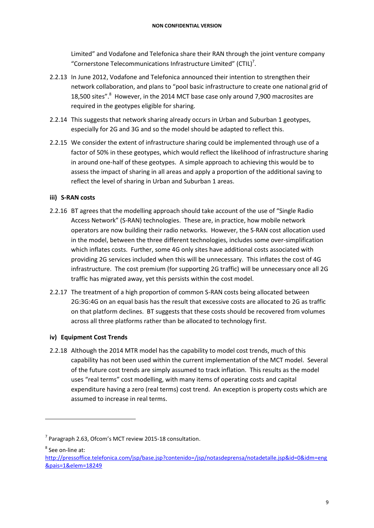Limited" and Vodafone and Telefonica share their RAN through the joint venture company "Cornerstone Telecommunications Infrastructure Limited" (CTIL)<sup>7</sup>.

- 2.2.13 In June 2012, Vodafone and Telefonica announced their intention to strengthen their network collaboration, and plans to "pool basic infrastructure to create one national grid of 18,500 sites".<sup>8</sup> However, in the 2014 MCT base case only around 7,900 macrosites are required in the geotypes eligible for sharing.
- 2.2.14 This suggests that network sharing already occurs in Urban and Suburban 1 geotypes, especially for 2G and 3G and so the model should be adapted to reflect this.
- 2.2.15 We consider the extent of infrastructure sharing could be implemented through use of a factor of 50% in these geotypes, which would reflect the likelihood of infrastructure sharing in around one-half of these geotypes. A simple approach to achieving this would be to assess the impact of sharing in all areas and apply a proportion of the additional saving to reflect the level of sharing in Urban and Suburban 1 areas.

#### **iii) S-RAN costs**

- 2.2.16 BT agrees that the modelling approach should take account of the use of "Single Radio Access Network" (S-RAN) technologies. These are, in practice, how mobile network operators are now building their radio networks. However, the S-RAN cost allocation used in the model, between the three different technologies, includes some over-simplification which inflates costs. Further, some 4G only sites have additional costs associated with providing 2G services included when this will be unnecessary. This inflates the cost of 4G infrastructure. The cost premium (for supporting 2G traffic) will be unnecessary once all 2G traffic has migrated away, yet this persists within the cost model.
- 2.2.17 The treatment of a high proportion of common S-RAN costs being allocated between 2G:3G:4G on an equal basis has the result that excessive costs are allocated to 2G as traffic on that platform declines. BT suggests that these costs should be recovered from volumes across all three platforms rather than be allocated to technology first.

#### **iv) Equipment Cost Trends**

2.2.18 Although the 2014 MTR model has the capability to model cost trends, much of this capability has not been used within the current implementation of the MCT model. Several of the future cost trends are simply assumed to track inflation. This results as the model uses "real terms" cost modelling, with many items of operating costs and capital expenditure having a zero (real terms) cost trend. An exception is property costs which are assumed to increase in real terms.

8 See on-line at:

 $<sup>7</sup>$  Paragraph 2.63, Ofcom's MCT review 2015-18 consultation.</sup>

[http://pressoffice.telefonica.com/jsp/base.jsp?contenido=/jsp/notasdeprensa/notadetalle.jsp&id=0&idm=eng](http://pressoffice.telefonica.com/jsp/base.jsp?contenido=/jsp/notasdeprensa/notadetalle.jsp&id=0&idm=eng&pais=1&elem=18249) [&pais=1&elem=18249](http://pressoffice.telefonica.com/jsp/base.jsp?contenido=/jsp/notasdeprensa/notadetalle.jsp&id=0&idm=eng&pais=1&elem=18249)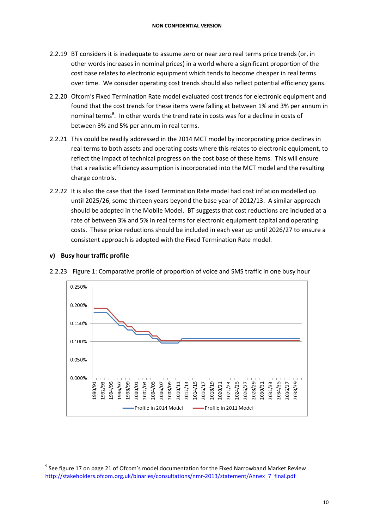- 2.2.19 BT considers it is inadequate to assume zero or near zero real terms price trends (or, in other words increases in nominal prices) in a world where a significant proportion of the cost base relates to electronic equipment which tends to become cheaper in real terms over time. We consider operating cost trends should also reflect potential efficiency gains.
- 2.2.20 Ofcom's Fixed Termination Rate model evaluated cost trends for electronic equipment and found that the cost trends for these items were falling at between 1% and 3% per annum in nominal terms<sup>9</sup>. In other words the trend rate in costs was for a decline in costs of between 3% and 5% per annum in real terms.
- 2.2.21 This could be readily addressed in the 2014 MCT model by incorporating price declines in real terms to both assets and operating costs where this relates to electronic equipment, to reflect the impact of technical progress on the cost base of these items. This will ensure that a realistic efficiency assumption is incorporated into the MCT model and the resulting charge controls.
- 2.2.22 It is also the case that the Fixed Termination Rate model had cost inflation modelled up until 2025/26, some thirteen years beyond the base year of 2012/13. A similar approach should be adopted in the Mobile Model. BT suggests that cost reductions are included at a rate of between 3% and 5% in real terms for electronic equipment capital and operating costs. These price reductions should be included in each year up until 2026/27 to ensure a consistent approach is adopted with the Fixed Termination Rate model.



2.2.23 Figure 1: Comparative profile of proportion of voice and SMS traffic in one busy hour

**v) Busy hour traffic profile** 

1

 $9$  See figure 17 on page 21 of Ofcom's model documentation for the Fixed Narrowband Market Review [http://stakeholders.ofcom.org.uk/binaries/consultations/nmr-2013/statement/Annex\\_7\\_final.pdf](http://stakeholders.ofcom.org.uk/binaries/consultations/nmr-2013/statement/Annex_7_final.pdf)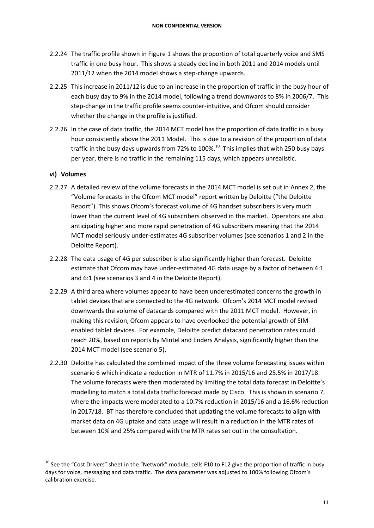- 2.2.24 The traffic profile shown in Figure 1 shows the proportion of total quarterly voice and SMS traffic in one busy hour. This shows a steady decline in both 2011 and 2014 models until 2011/12 when the 2014 model shows a step-change upwards.
- 2.2.25 This increase in 2011/12 is due to an increase in the proportion of traffic in the busy hour of each busy day to 9% in the 2014 model, following a trend downwards to 8% in 2006/7. This step-change in the traffic profile seems counter-intuitive, and Ofcom should consider whether the change in the profile is justified.
- 2.2.26 In the case of data traffic, the 2014 MCT model has the proportion of data traffic in a busy hour consistently above the 2011 Model. This is due to a revision of the proportion of data traffic in the busy days upwards from 72% to 100%.<sup>10</sup> This implies that with 250 busy bays per year, there is no traffic in the remaining 115 days, which appears unrealistic.

#### **vi) Volumes**

- 2.2.27 A detailed review of the volume forecasts in the 2014 MCT model is set out in Annex 2, the "Volume forecasts in the Ofcom MCT model" report written by Deloitte ("the Deloitte Report"). This shows Ofcom's forecast volume of 4G handset subscribers is very much lower than the current level of 4G subscribers observed in the market. Operators are also anticipating higher and more rapid penetration of 4G subscribers meaning that the 2014 MCT model seriously under-estimates 4G subscriber volumes (see scenarios 1 and 2 in the Deloitte Report).
- 2.2.28 The data usage of 4G per subscriber is also significantly higher than forecast. Deloitte estimate that Ofcom may have under-estimated 4G data usage by a factor of between 4:1 and 6:1 (see scenarios 3 and 4 in the Deloitte Report).
- 2.2.29 A third area where volumes appear to have been underestimated concerns the growth in tablet devices that are connected to the 4G network. Ofcom's 2014 MCT model revised downwards the volume of datacards compared with the 2011 MCT model. However, in making this revision, Ofcom appears to have overlooked the potential growth of SIMenabled tablet devices. For example, Deloitte predict datacard penetration rates could reach 20%, based on reports by Mintel and Enders Analysis, significantly higher than the 2014 MCT model (see scenario 5).
- 2.2.30 Deloitte has calculated the combined impact of the three volume forecasting issues within scenario 6 which indicate a reduction in MTR of 11.7% in 2015/16 and 25.5% in 2017/18. The volume forecasts were then moderated by limiting the total data forecast in Deloitte's modelling to match a total data traffic forecast made by Cisco. This is shown in scenario 7, where the impacts were moderated to a 10.7% reduction in 2015/16 and a 16.6% reduction in 2017/18. BT has therefore concluded that updating the volume forecasts to align with market data on 4G uptake and data usage will result in a reduction in the MTR rates of between 10% and 25% compared with the MTR rates set out in the consultation.

 $10$  See the "Cost Drivers" sheet in the "Network" module, cells F10 to F12 give the proportion of traffic in busy days for voice, messaging and data traffic. The data parameter was adjusted to 100% following Ofcom's calibration exercise.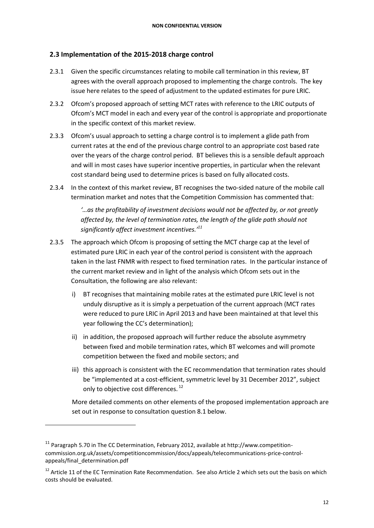#### <span id="page-11-0"></span>**2.3 Implementation of the 2015-2018 charge control**

- 2.3.1 Given the specific circumstances relating to mobile call termination in this review, BT agrees with the overall approach proposed to implementing the charge controls. The key issue here relates to the speed of adjustment to the updated estimates for pure LRIC.
- 2.3.2 Ofcom's proposed approach of setting MCT rates with reference to the LRIC outputs of Ofcom's MCT model in each and every year of the control is appropriate and proportionate in the specific context of this market review.
- 2.3.3 Ofcom's usual approach to setting a charge control is to implement a glide path from current rates at the end of the previous charge control to an appropriate cost based rate over the years of the charge control period. BT believes this is a sensible default approach and will in most cases have superior incentive properties, in particular when the relevant cost standard being used to determine prices is based on fully allocated costs.
- 2.3.4 In the context of this market review, BT recognises the two-sided nature of the mobile call termination market and notes that the Competition Commission has commented that:

*'…as the profitability of investment decisions would not be affected by, or not greatly affected by, the level of termination rates, the length of the glide path should not significantly affect investment incentives.' 11*

- 2.3.5 The approach which Ofcom is proposing of setting the MCT charge cap at the level of estimated pure LRIC in each year of the control period is consistent with the approach taken in the last FNMR with respect to fixed termination rates. In the particular instance of the current market review and in light of the analysis which Ofcom sets out in the Consultation, the following are also relevant:
	- i) BT recognises that maintaining mobile rates at the estimated pure LRIC level is not unduly disruptive as it is simply a perpetuation of the current approach (MCT rates were reduced to pure LRIC in April 2013 and have been maintained at that level this year following the CC's determination);
	- ii) in addition, the proposed approach will further reduce the absolute asymmetry between fixed and mobile termination rates, which BT welcomes and will promote competition between the fixed and mobile sectors; and
	- iii) this approach is consistent with the EC recommendation that termination rates should be "implemented at a cost-efficient, symmetric level by 31 December 2012", subject only to objective cost differences.<sup>12</sup>

More detailed comments on other elements of the proposed implementation approach are set out in response to consultation question 8.1 below.

1

<sup>&</sup>lt;sup>11</sup> Paragraph 5.70 in The CC Determination, February 2012, available at http://www.competitioncommission.org.uk/assets/competitioncommission/docs/appeals/telecommunications-price-controlappeals/final\_determination.pdf

<sup>&</sup>lt;sup>12</sup> Article 11 of the EC Termination Rate Recommendation. See also Article 2 which sets out the basis on which costs should be evaluated.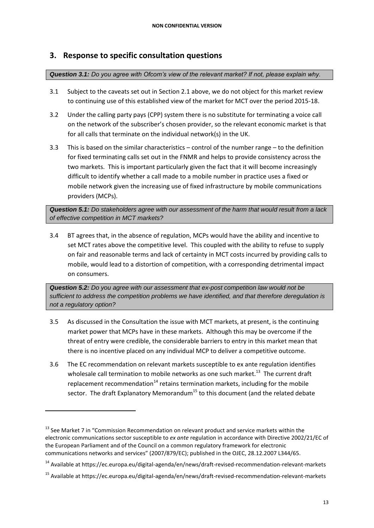## <span id="page-12-0"></span>**3. Response to specific consultation questions**

#### *Question 3.1: Do you agree with Ofcom's view of the relevant market? If not, please explain why.*

- 3.1 Subject to the caveats set out in Section 2.1 above, we do not object for this market review to continuing use of this established view of the market for MCT over the period 2015-18.
- 3.2 Under the calling party pays (CPP) system there is no substitute for terminating a voice call on the network of the subscriber's chosen provider, so the relevant economic market is that for all calls that terminate on the individual network(s) in the UK.
- 3.3 This is based on the similar characteristics control of the number range to the definition for fixed terminating calls set out in the FNMR and helps to provide consistency across the two markets. This is important particularly given the fact that it will become increasingly difficult to identify whether a call made to a mobile number in practice uses a fixed or mobile network given the increasing use of fixed infrastructure by mobile communications providers (MCPs).

*Question 5.1: Do stakeholders agree with our assessment of the harm that would result from a lack of effective competition in MCT markets?*

3.4 BT agrees that, in the absence of regulation, MCPs would have the ability and incentive to set MCT rates above the competitive level. This coupled with the ability to refuse to supply on fair and reasonable terms and lack of certainty in MCT costs incurred by providing calls to mobile, would lead to a distortion of competition, with a corresponding detrimental impact on consumers.

*Question 5.2: Do you agree with our assessment that ex-post competition law would not be sufficient to address the competition problems we have identified, and that therefore deregulation is not a regulatory option?*

- 3.5 As discussed in the Consultation the issue with MCT markets, at present, is the continuing market power that MCPs have in these markets. Although this may be overcome if the threat of entry were credible, the considerable barriers to entry in this market mean that there is no incentive placed on any individual MCP to deliver a competitive outcome.
- 3.6 The EC recommendation on relevant markets susceptible to ex ante regulation identifies wholesale call termination to mobile networks as one such market.<sup>13</sup> The current draft replacement recommendation<sup>14</sup> retains termination markets, including for the mobile sector. The draft Explanatory Memorandum<sup>15</sup> to this document (and the related debate

1

<sup>&</sup>lt;sup>13</sup> See Market 7 in "Commission Recommendation on relevant product and service markets within the electronic communications sector susceptible to *ex ante* regulation in accordance with Directive 2002/21/EC of the European Parliament and of the Council on a common regulatory framework for electronic communications networks and services" (2007/879/EC); published in the OJEC, 28.12.2007 L344/65.

<sup>14</sup> Available at https://ec.europa.eu/digital-agenda/en/news/draft-revised-recommendation-relevant-markets

<sup>15</sup> Available at https://ec.europa.eu/digital-agenda/en/news/draft-revised-recommendation-relevant-markets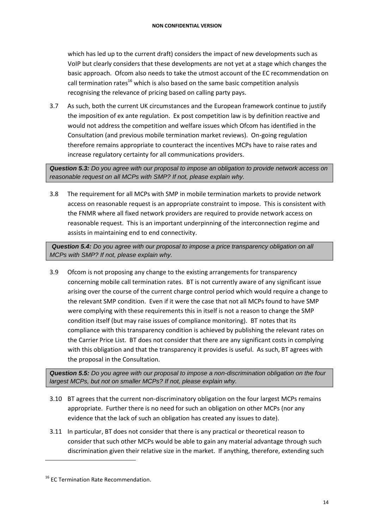which has led up to the current draft) considers the impact of new developments such as VoIP but clearly considers that these developments are not yet at a stage which changes the basic approach. Ofcom also needs to take the utmost account of the EC recommendation on call termination rates<sup>16</sup> which is also based on the same basic competition analysis recognising the relevance of pricing based on calling party pays.

3.7 As such, both the current UK circumstances and the European framework continue to justify the imposition of ex ante regulation. Ex post competition law is by definition reactive and would not address the competition and welfare issues which Ofcom has identified in the Consultation (and previous mobile termination market reviews). On-going regulation therefore remains appropriate to counteract the incentives MCPs have to raise rates and increase regulatory certainty for all communications providers.

*Question 5.3: Do you agree with our proposal to impose an obligation to provide network access on reasonable request on all MCPs with SMP? If not, please explain why.* 

3.8 The requirement for all MCPs with SMP in mobile termination markets to provide network access on reasonable request is an appropriate constraint to impose. This is consistent with the FNMR where all fixed network providers are required to provide network access on reasonable request. This is an important underpinning of the interconnection regime and assists in maintaining end to end connectivity.

*Question 5.4: Do you agree with our proposal to impose a price transparency obligation on all MCPs with SMP? If not, please explain why.* 

3.9 Ofcom is not proposing any change to the existing arrangements for transparency concerning mobile call termination rates. BT is not currently aware of any significant issue arising over the course of the current charge control period which would require a change to the relevant SMP condition. Even if it were the case that not all MCPs found to have SMP were complying with these requirements this in itself is not a reason to change the SMP condition itself (but may raise issues of compliance monitoring). BT notes that its compliance with this transparency condition is achieved by publishing the relevant rates on the Carrier Price List. BT does not consider that there are any significant costs in complying with this obligation and that the transparency it provides is useful. As such, BT agrees with the proposal in the Consultation.

*Question 5.5: Do you agree with our proposal to impose a non-discrimination obligation on the four largest MCPs, but not on smaller MCPs? If not, please explain why.* 

- 3.10 BT agrees that the current non-discriminatory obligation on the four largest MCPs remains appropriate. Further there is no need for such an obligation on other MCPs (nor any evidence that the lack of such an obligation has created any issues to date).
- 3.11 In particular, BT does not consider that there is any practical or theoretical reason to consider that such other MCPs would be able to gain any material advantage through such discrimination given their relative size in the market. If anything, therefore, extending such

<sup>&</sup>lt;sup>16</sup> EC Termination Rate Recommendation.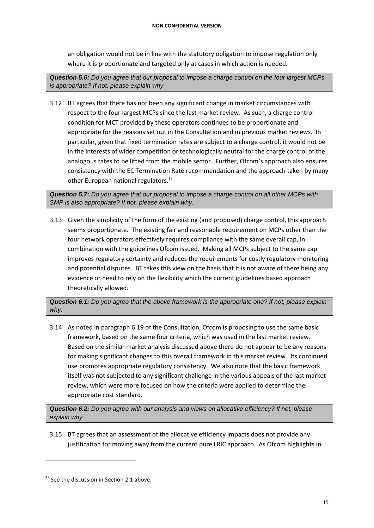an obligation would not be in line with the statutory obligation to impose regulation only where it is proportionate and targeted only at cases in which action is needed.

*Question 5.6: Do you agree that our proposal to impose a charge control on the four largest MCPs is appropriate? If not, please explain why.*

3.12 BT agrees that there has not been any significant change in market circumstances with respect to the four largest MCPs since the last market review. As such, a charge control condition for MCT provided by these operators continues to be proportionate and appropriate for the reasons set out in the Consultation and in previous market reviews. In particular, given that fixed termination rates are subject to a charge control, it would not be in the interests of wider competition or technologically neutral for the charge control of the analogous rates to be lifted from the mobile sector. Further, Ofcom's approach also ensures consistency with the EC Termination Rate recommendation and the approach taken by many other European national regulators.<sup>17</sup>

*Question 5.7: Do you agree that our proposal to impose a charge control on all other MCPs with SMP is also appropriate? If not, please explain why.* 

3.13 Given the simplicity of the form of the existing (and proposed) charge control, this approach seems proportionate. The existing fair and reasonable requirement on MCPs other than the four network operators effectively requires compliance with the same overall cap, in combination with the guidelines Ofcom issued. Making all MCPs subject to the same cap improves regulatory certainty and reduces the requirements for costly regulatory monitoring and potential disputes. BT takes this view on the basis that it is not aware of there being any evidence or need to rely on the flexibility which the current guidelines based approach theoretically allowed.

*Question 6.1: Do you agree that the above framework is the appropriate one? If not, please explain why.* 

3.14 As noted in paragraph 6.19 of the Consultation, Ofcom is proposing to use the same basic framework, based on the same four criteria, which was used in the last market review. Based on the similar market analysis discussed above there do not appear to be any reasons for making significant changes to this overall framework in this market review. Its continued use promotes appropriate regulatory consistency. We also note that the basic framework itself was not subjected to any significant challenge in the various appeals of the last market review, which were more focused on how the criteria were applied to determine the appropriate cost standard.

*Question 6.2: Do you agree with our analysis and views on allocative efficiency? If not, please explain why.* 

3.15 BT agrees that an assessment of the allocative efficiency impacts does not provide any justification for moving away from the current pure LRIC approach. As Ofcom highlights in

 $17$  See the discussion in Section 2.1 above.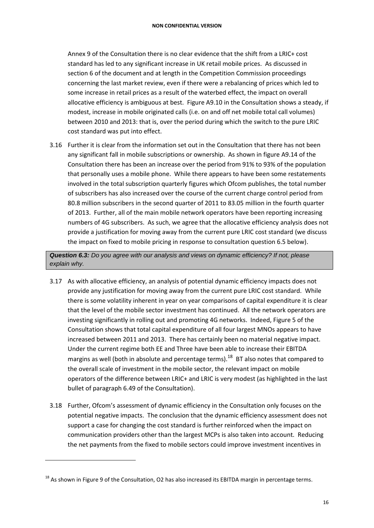Annex 9 of the Consultation there is no clear evidence that the shift from a LRIC+ cost standard has led to any significant increase in UK retail mobile prices. As discussed in section 6 of the document and at length in the Competition Commission proceedings concerning the last market review, even if there were a rebalancing of prices which led to some increase in retail prices as a result of the waterbed effect, the impact on overall allocative efficiency is ambiguous at best. Figure A9.10 in the Consultation shows a steady, if modest, increase in mobile originated calls (i.e. on and off net mobile total call volumes) between 2010 and 2013: that is, over the period during which the switch to the pure LRIC cost standard was put into effect.

3.16 Further it is clear from the information set out in the Consultation that there has not been any significant fall in mobile subscriptions or ownership. As shown in figure A9.14 of the Consultation there has been an increase over the period from 91% to 93% of the population that personally uses a mobile phone. While there appears to have been some restatements involved in the total subscription quarterly figures which Ofcom publishes, the total number of subscribers has also increased over the course of the current charge control period from 80.8 million subscribers in the second quarter of 2011 to 83.05 million in the fourth quarter of 2013. Further, all of the main mobile network operators have been reporting increasing numbers of 4G subscribers. As such, we agree that the allocative efficiency analysis does not provide a justification for moving away from the current pure LRIC cost standard (we discuss the impact on fixed to mobile pricing in response to consultation question 6.5 below).

*Question 6.3: Do you agree with our analysis and views on dynamic efficiency? If not, please explain why.* 

- 3.17 As with allocative efficiency, an analysis of potential dynamic efficiency impacts does not provide any justification for moving away from the current pure LRIC cost standard. While there is some volatility inherent in year on year comparisons of capital expenditure it is clear that the level of the mobile sector investment has continued. All the network operators are investing significantly in rolling out and promoting 4G networks. Indeed, Figure 5 of the Consultation shows that total capital expenditure of all four largest MNOs appears to have increased between 2011 and 2013. There has certainly been no material negative impact. Under the current regime both EE and Three have been able to increase their EBITDA margins as well (both in absolute and percentage terms).<sup>18</sup> BT also notes that compared to the overall scale of investment in the mobile sector, the relevant impact on mobile operators of the difference between LRIC+ and LRIC is very modest (as highlighted in the last bullet of paragraph 6.49 of the Consultation).
- 3.18 Further, Ofcom's assessment of dynamic efficiency in the Consultation only focuses on the potential negative impacts. The conclusion that the dynamic efficiency assessment does not support a case for changing the cost standard is further reinforced when the impact on communication providers other than the largest MCPs is also taken into account. Reducing the net payments from the fixed to mobile sectors could improve investment incentives in

 $18$  As shown in Figure 9 of the Consultation, O2 has also increased its EBITDA margin in percentage terms.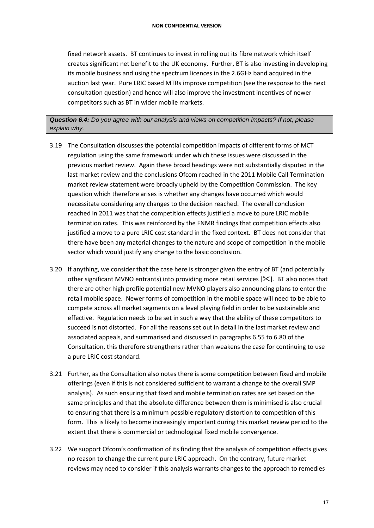fixed network assets. BT continues to invest in rolling out its fibre network which itself creates significant net benefit to the UK economy. Further, BT is also investing in developing its mobile business and using the spectrum licences in the 2.6GHz band acquired in the auction last year. Pure LRIC based MTRs improve competition (see the response to the next consultation question) and hence will also improve the investment incentives of newer competitors such as BT in wider mobile markets.

*Question 6.4: Do you agree with our analysis and views on competition impacts? If not, please explain why.* 

- 3.19 The Consultation discusses the potential competition impacts of different forms of MCT regulation using the same framework under which these issues were discussed in the previous market review. Again these broad headings were not substantially disputed in the last market review and the conclusions Ofcom reached in the 2011 Mobile Call Termination market review statement were broadly upheld by the Competition Commission. The key question which therefore arises is whether any changes have occurred which would necessitate considering any changes to the decision reached. The overall conclusion reached in 2011 was that the competition effects justified a move to pure LRIC mobile termination rates. This was reinforced by the FNMR findings that competition effects also justified a move to a pure LRIC cost standard in the fixed context. BT does not consider that there have been any material changes to the nature and scope of competition in the mobile sector which would justify any change to the basic conclusion.
- 3.20 If anything, we consider that the case here is stronger given the entry of BT (and potentially other significant MVNO entrants) into providing more retail services  $[\&$ . BT also notes that there are other high profile potential new MVNO players also announcing plans to enter the retail mobile space. Newer forms of competition in the mobile space will need to be able to compete across all market segments on a level playing field in order to be sustainable and effective. Regulation needs to be set in such a way that the ability of these competitors to succeed is not distorted. For all the reasons set out in detail in the last market review and associated appeals, and summarised and discussed in paragraphs 6.55 to 6.80 of the Consultation, this therefore strengthens rather than weakens the case for continuing to use a pure LRIC cost standard.
- 3.21 Further, as the Consultation also notes there is some competition between fixed and mobile offerings (even if this is not considered sufficient to warrant a change to the overall SMP analysis). As such ensuring that fixed and mobile termination rates are set based on the same principles and that the absolute difference between them is minimised is also crucial to ensuring that there is a minimum possible regulatory distortion to competition of this form. This is likely to become increasingly important during this market review period to the extent that there is commercial or technological fixed mobile convergence.
- 3.22 We support Ofcom's confirmation of its finding that the analysis of competition effects gives no reason to change the current pure LRIC approach. On the contrary, future market reviews may need to consider if this analysis warrants changes to the approach to remedies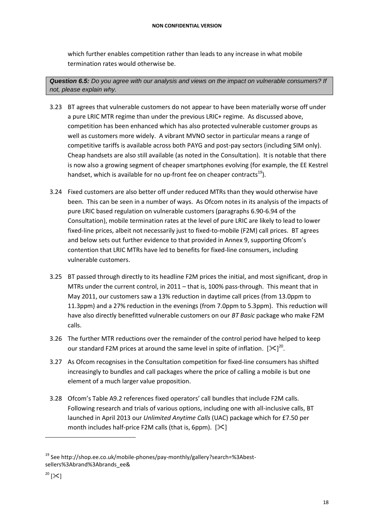which further enables competition rather than leads to any increase in what mobile termination rates would otherwise be.

*Question 6.5: Do you agree with our analysis and views on the impact on vulnerable consumers? If not, please explain why.*

- 3.23 BT agrees that vulnerable customers do not appear to have been materially worse off under a pure LRIC MTR regime than under the previous LRIC+ regime. As discussed above, competition has been enhanced which has also protected vulnerable customer groups as well as customers more widely. A vibrant MVNO sector in particular means a range of competitive tariffs is available across both PAYG and post-pay sectors (including SIM only). Cheap handsets are also still available (as noted in the Consultation). It is notable that there is now also a growing segment of cheaper smartphones evolving (for example, the EE Kestrel handset, which is available for no up-front fee on cheaper contracts $^{19}$ ).
- 3.24 Fixed customers are also better off under reduced MTRs than they would otherwise have been. This can be seen in a number of ways. As Ofcom notes in its analysis of the impacts of pure LRIC based regulation on vulnerable customers (paragraphs 6.90-6.94 of the Consultation), mobile termination rates at the level of pure LRIC are likely to lead to lower fixed-line prices, albeit not necessarily just to fixed-to-mobile (F2M) call prices. BT agrees and below sets out further evidence to that provided in Annex 9, supporting Ofcom's contention that LRIC MTRs have led to benefits for fixed-line consumers, including vulnerable customers.
- 3.25 BT passed through directly to its headline F2M prices the initial, and most significant, drop in MTRs under the current control, in 2011 – that is, 100% pass-through. This meant that in May 2011, our customers saw a 13% reduction in daytime call prices (from 13.0ppm to 11.3ppm) and a 27% reduction in the evenings (from 7.0ppm to 5.3ppm). This reduction will have also directly benefitted vulnerable customers on our *BT Basic* package who make F2M calls.
- 3.26 The further MTR reductions over the remainder of the control period have helped to keep our standard F2M prices at around the same level in spite of inflation.  $[\mathbb{X}]^{20}$ .
- 3.27 As Ofcom recognises in the Consultation competition for fixed-line consumers has shifted increasingly to bundles and call packages where the price of calling a mobile is but one element of a much larger value proposition.
- 3.28 Ofcom's Table A9.2 references fixed operators' call bundles that include F2M calls. Following research and trials of various options, including one with all-inclusive calls, BT launched in April 2013 our *Unlimited Anytime Calls* (UAC) package which for £7.50 per month includes half-price F2M calls (that is, 6ppm).  $[\mathcal{K}]$

<sup>19</sup> See http://shop.ee.co.uk/mobile-phones/pay-monthly/gallery?search=%3Abestsellers%3Abrand%3Abrands\_ee&

 $^{20}$  [ $\ge$ ]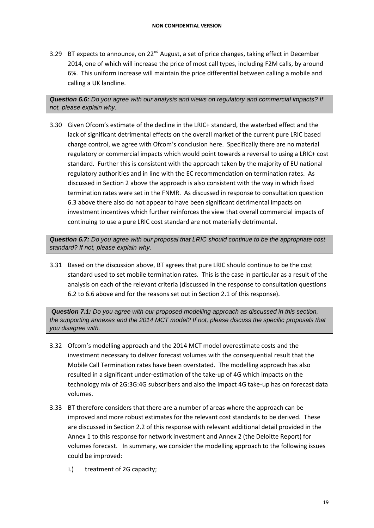3.29 BT expects to announce, on 22<sup>nd</sup> August, a set of price changes, taking effect in December 2014, one of which will increase the price of most call types, including F2M calls, by around 6%. This uniform increase will maintain the price differential between calling a mobile and calling a UK landline.

*Question 6.6: Do you agree with our analysis and views on regulatory and commercial impacts? If not, please explain why.* 

3.30 Given Ofcom's estimate of the decline in the LRIC+ standard, the waterbed effect and the lack of significant detrimental effects on the overall market of the current pure LRIC based charge control, we agree with Ofcom's conclusion here. Specifically there are no material regulatory or commercial impacts which would point towards a reversal to using a LRIC+ cost standard. Further this is consistent with the approach taken by the majority of EU national regulatory authorities and in line with the EC recommendation on termination rates. As discussed in Section 2 above the approach is also consistent with the way in which fixed termination rates were set in the FNMR. As discussed in response to consultation question 6.3 above there also do not appear to have been significant detrimental impacts on investment incentives which further reinforces the view that overall commercial impacts of continuing to use a pure LRIC cost standard are not materially detrimental.

*Question 6.7: Do you agree with our proposal that LRIC should continue to be the appropriate cost standard? If not, please explain why.*

3.31 Based on the discussion above, BT agrees that pure LRIC should continue to be the cost standard used to set mobile termination rates. This is the case in particular as a result of the analysis on each of the relevant criteria (discussed in the response to consultation questions 6.2 to 6.6 above and for the reasons set out in Section 2.1 of this response).

*Question 7.1: Do you agree with our proposed modelling approach as discussed in this section, the supporting annexes and the 2014 MCT model? If not, please discuss the specific proposals that you disagree with.*

- 3.32 Ofcom's modelling approach and the 2014 MCT model overestimate costs and the investment necessary to deliver forecast volumes with the consequential result that the Mobile Call Termination rates have been overstated. The modelling approach has also resulted in a significant under-estimation of the take-up of 4G which impacts on the technology mix of 2G:3G:4G subscribers and also the impact 4G take-up has on forecast data volumes.
- 3.33 BT therefore considers that there are a number of areas where the approach can be improved and more robust estimates for the relevant cost standards to be derived. These are discussed in Section 2.2 of this response with relevant additional detail provided in the Annex 1 to this response for network investment and Annex 2 (the Deloitte Report) for volumes forecast. In summary, we consider the modelling approach to the following issues could be improved:
	- i.) treatment of 2G capacity;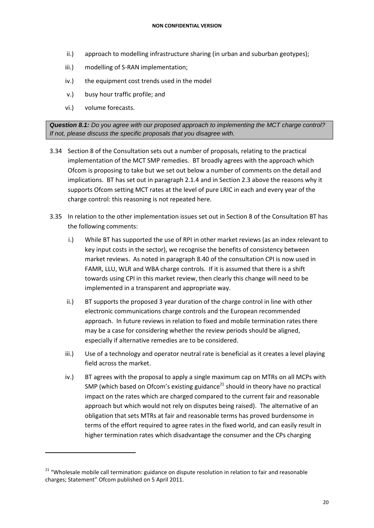- ii.) approach to modelling infrastructure sharing (in urban and suburban geotypes);
- iii.) modelling of S-RAN implementation;
- iv.) the equipment cost trends used in the model
- v.) busy hour traffic profile; and
- vi.) volume forecasts.

 $\overline{a}$ 

*Question 8.1: Do you agree with our proposed approach to implementing the MCT charge control? If not, please discuss the specific proposals that you disagree with.*

- 3.34 Section 8 of the Consultation sets out a number of proposals, relating to the practical implementation of the MCT SMP remedies. BT broadly agrees with the approach which Ofcom is proposing to take but we set out below a number of comments on the detail and implications. BT has set out in paragraph 2.1.4 and in Section 2.3 above the reasons why it supports Ofcom setting MCT rates at the level of pure LRIC in each and every year of the charge control: this reasoning is not repeated here.
- 3.35 In relation to the other implementation issues set out in Section 8 of the Consultation BT has the following comments:
	- i.) While BT has supported the use of RPI in other market reviews (as an index relevant to key input costs in the sector), we recognise the benefits of consistency between market reviews. As noted in paragraph 8.40 of the consultation CPI is now used in FAMR, LLU, WLR and WBA charge controls. If it is assumed that there is a shift towards using CPI in this market review, then clearly this change will need to be implemented in a transparent and appropriate way.
	- ii.) BT supports the proposed 3 year duration of the charge control in line with other electronic communications charge controls and the European recommended approach. In future reviews in relation to fixed and mobile termination rates there may be a case for considering whether the review periods should be aligned, especially if alternative remedies are to be considered.
	- iii.) Use of a technology and operator neutral rate is beneficial as it creates a level playing field across the market.
	- iv.) BT agrees with the proposal to apply a single maximum cap on MTRs on all MCPs with SMP (which based on Ofcom's existing guidance<sup>21</sup> should in theory have no practical impact on the rates which are charged compared to the current fair and reasonable approach but which would not rely on disputes being raised). The alternative of an obligation that sets MTRs at fair and reasonable terms has proved burdensome in terms of the effort required to agree rates in the fixed world, and can easily result in higher termination rates which disadvantage the consumer and the CPs charging

<sup>&</sup>lt;sup>21</sup> "Wholesale mobile call termination: guidance on dispute resolution in relation to fair and reasonable charges; Statement" Ofcom published on 5 April 2011.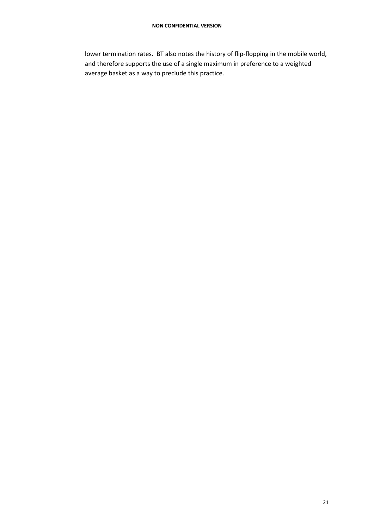lower termination rates. BT also notes the history of flip-flopping in the mobile world, and therefore supports the use of a single maximum in preference to a weighted average basket as a way to preclude this practice.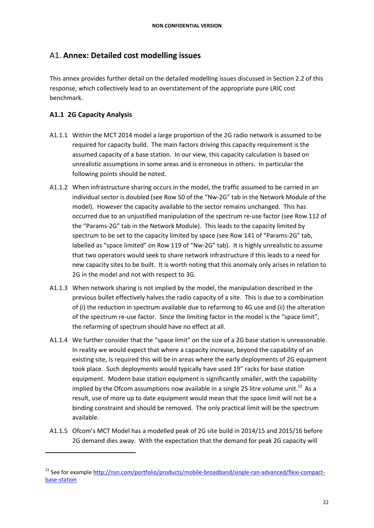## <span id="page-21-0"></span>A1. **Annex: Detailed cost modelling issues**

This annex provides further detail on the detailed modelling issues discussed in Section 2.2 of this response, which collectively lead to an overstatement of the appropriate pure LRIC cost benchmark.

#### <span id="page-21-1"></span>**A1.1 2G Capacity Analysis**

 $\overline{a}$ 

- A1.1.1 Within the MCT 2014 model a large proportion of the 2G radio network is assumed to be required for capacity build. The main factors driving this capacity requirement is the assumed capacity of a base station. In our view, this capacity calculation is based on unrealistic assumptions in some areas and is erroneous in others. In particular the following points should be noted.
- A1.1.2 When infrastructure sharing occurs in the model, the traffic assumed to be carried in an individual sector is doubled (see Row 50 of the "Nw-2G" tab in the Network Module of the model). However the capacity available to the sector remains unchanged. This has occurred due to an unjustified manipulation of the spectrum re-use factor (see Row 112 of the "Params-2G" tab in the Network Module). This leads to the capacity limited by spectrum to be set to the capacity limited by space (see Row 141 of "Params-2G" tab, labelled as "space limited" on Row 119 of "Nw-2G" tab). It is highly unrealistic to assume that two operators would seek to share network infrastructure if this leads to a need for new capacity sites to be built. It is worth noting that this anomaly only arises in relation to 2G in the model and not with respect to 3G.
- A1.1.3 When network sharing is not implied by the model, the manipulation described in the previous bullet effectively halves the radio capacity of a site. This is due to a combination of (i) the reduction in spectrum available due to refarming to 4G use and (ii) the alteration of the spectrum re-use factor. Since the limiting factor in the model is the "space limit", the refarming of spectrum should have no effect at all.
- A1.1.4 We further consider that the "space limit" on the size of a 2G base station is unreasonable. In reality we would expect that where a capacity increase, beyond the capability of an existing site, is required this will be in areas where the early deployments of 2G equipment took place. Such deployments would typically have used 19" racks for base station equipment. Modern base station equipment is significantly smaller, with the capability implied by the Ofcom assumptions now available in a single 25 litre volume unit.<sup>22</sup> As a result, use of more up to date equipment would mean that the space limit will not be a binding constraint and should be removed. The only practical limit will be the spectrum available.
- A1.1.5 Ofcom's MCT Model has a modelled peak of 2G site build in 2014/15 and 2015/16 before 2G demand dies away. With the expectation that the demand for peak 2G capacity will

<sup>&</sup>lt;sup>22</sup> See for exampl[e http://nsn.com/portfolio/products/mobile-broadband/single-ran-advanced/flexi-compact](http://nsn.com/portfolio/products/mobile-broadband/single-ran-advanced/flexi-compact-base-station)[base-station](http://nsn.com/portfolio/products/mobile-broadband/single-ran-advanced/flexi-compact-base-station)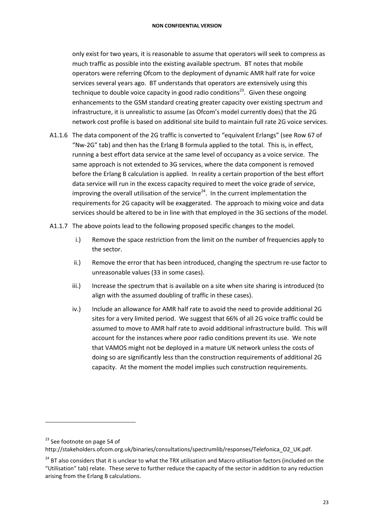only exist for two years, it is reasonable to assume that operators will seek to compress as much traffic as possible into the existing available spectrum. BT notes that mobile operators were referring Ofcom to the deployment of dynamic AMR half rate for voice services several years ago. BT understands that operators are extensively using this technique to double voice capacity in good radio conditions<sup>23</sup>. Given these ongoing enhancements to the GSM standard creating greater capacity over existing spectrum and infrastructure, it is unrealistic to assume (as Ofcom's model currently does) that the 2G network cost profile is based on additional site build to maintain full rate 2G voice services.

- A1.1.6 The data component of the 2G traffic is converted to "equivalent Erlangs" (see Row 67 of "Nw-2G" tab) and then has the Erlang B formula applied to the total. This is, in effect, running a best effort data service at the same level of occupancy as a voice service. The same approach is not extended to 3G services, where the data component is removed before the Erlang B calculation is applied. In reality a certain proportion of the best effort data service will run in the excess capacity required to meet the voice grade of service, improving the overall utilisation of the service<sup>24</sup>. In the current implementation the requirements for 2G capacity will be exaggerated. The approach to mixing voice and data services should be altered to be in line with that employed in the 3G sections of the model.
- A1.1.7 The above points lead to the following proposed specific changes to the model.
	- i.) Remove the space restriction from the limit on the number of frequencies apply to the sector.
	- ii.) Remove the error that has been introduced, changing the spectrum re-use factor to unreasonable values (33 in some cases).
	- iii.) Increase the spectrum that is available on a site when site sharing is introduced (to align with the assumed doubling of traffic in these cases).
	- iv.) Include an allowance for AMR half rate to avoid the need to provide additional 2G sites for a very limited period. We suggest that 66% of all 2G voice traffic could be assumed to move to AMR half rate to avoid additional infrastructure build. This will account for the instances where poor radio conditions prevent its use. We note that VAMOS might not be deployed in a mature UK network unless the costs of doing so are significantly less than the construction requirements of additional 2G capacity. At the moment the model implies such construction requirements.

<sup>&</sup>lt;sup>23</sup> See footnote on page 54 of

http://stakeholders.ofcom.org.uk/binaries/consultations/spectrumlib/responses/Telefonica\_O2\_UK.pdf.

<sup>&</sup>lt;sup>24</sup> BT also considers that it is unclear to what the TRX utilisation and Macro utilisation factors (included on the "Utilisation" tab) relate. These serve to further reduce the capacity of the sector in addition to any reduction arising from the Erlang B calculations.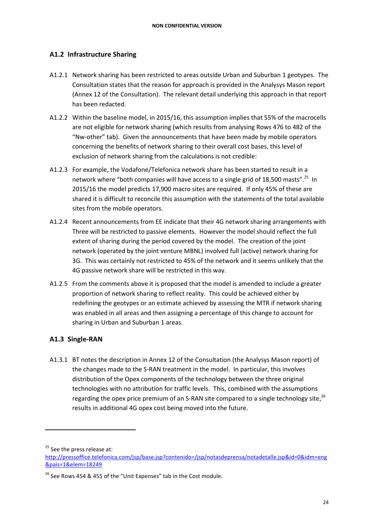### <span id="page-23-0"></span>**A1.2 Infrastructure Sharing**

- A1.2.1 Network sharing has been restricted to areas outside Urban and Suburban 1 geotypes. The Consultation states that the reason for approach is provided in the Analysys Mason report (Annex 12 of the Consultation). The relevant detail underlying this approach in that report has been redacted.
- A1.2.2 Within the baseline model, in 2015/16, this assumption implies that 55% of the macrocells are not eligible for network sharing (which results from analysing Rows 476 to 482 of the "Nw-other" tab). Given the announcements that have been made by mobile operators concerning the benefits of network sharing to their overall cost bases, this level of exclusion of network sharing from the calculations is not credible:
- A1.2.3 For example, the Vodafone/Telefonica network share has been started to result in a network where "both companies will have access to a single grid of 18,500 masts".<sup>25</sup> In 2015/16 the model predicts 17,900 macro sites are required. If only 45% of these are shared it is difficult to reconcile this assumption with the statements of the total available sites from the mobile operators.
- A1.2.4 Recent announcements from EE indicate that their 4G network sharing arrangements with Three will be restricted to passive elements. However the model should reflect the full extent of sharing during the period covered by the model. The creation of the joint network (operated by the joint venture MBNL) involved full (active) network sharing for 3G. This was certainly not restricted to 45% of the network and it seems unlikely that the 4G passive network share will be restricted in this way.
- A1.2.5 From the comments above it is proposed that the model is amended to include a greater proportion of network sharing to reflect reality. This could be achieved either by redefining the geotypes or an estimate achieved by assessing the MTR if network sharing was enabled in all areas and then assigning a percentage of this change to account for sharing in Urban and Suburban 1 areas.

### <span id="page-23-1"></span>**A1.3 Single-RAN**

A1.3.1 BT notes the description in Annex 12 of the Consultation (the Analysys Mason report) of the changes made to the S-RAN treatment in the model. In particular, this involves distribution of the Opex components of the technology between the three original technologies with no attribution for traffic levels. This, combined with the assumptions regarding the opex price premium of an S-RAN site compared to a single technology site,  $^{26}$ results in additional 4G opex cost being moved into the future.

<sup>25</sup> See the press release at:

[http://pressoffice.telefonica.com/jsp/base.jsp?contenido=/jsp/notasdeprensa/notadetalle.jsp&id=0&idm=eng](http://pressoffice.telefonica.com/jsp/base.jsp?contenido=/jsp/notasdeprensa/notadetalle.jsp&id=0&idm=eng&pais=1&elem=18249) [&pais=1&elem=18249](http://pressoffice.telefonica.com/jsp/base.jsp?contenido=/jsp/notasdeprensa/notadetalle.jsp&id=0&idm=eng&pais=1&elem=18249)

<sup>&</sup>lt;sup>26</sup> See Rows 454 & 455 of the "Unit Expenses" tab in the Cost module.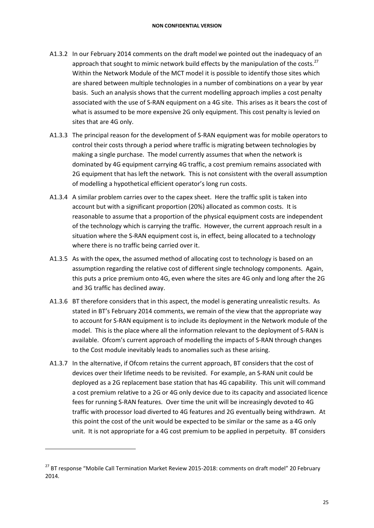- A1.3.2 In our February 2014 comments on the draft model we pointed out the inadequacy of an approach that sought to mimic network build effects by the manipulation of the costs. $^{27}$ Within the Network Module of the MCT model it is possible to identify those sites which are shared between multiple technologies in a number of combinations on a year by year basis. Such an analysis shows that the current modelling approach implies a cost penalty associated with the use of S-RAN equipment on a 4G site. This arises as it bears the cost of what is assumed to be more expensive 2G only equipment. This cost penalty is levied on sites that are 4G only.
- A1.3.3 The principal reason for the development of S-RAN equipment was for mobile operators to control their costs through a period where traffic is migrating between technologies by making a single purchase. The model currently assumes that when the network is dominated by 4G equipment carrying 4G traffic, a cost premium remains associated with 2G equipment that has left the network. This is not consistent with the overall assumption of modelling a hypothetical efficient operator's long run costs.
- A1.3.4 A similar problem carries over to the capex sheet. Here the traffic split is taken into account but with a significant proportion (20%) allocated as common costs. It is reasonable to assume that a proportion of the physical equipment costs are independent of the technology which is carrying the traffic. However, the current approach result in a situation where the S-RAN equipment cost is, in effect, being allocated to a technology where there is no traffic being carried over it.
- A1.3.5 As with the opex, the assumed method of allocating cost to technology is based on an assumption regarding the relative cost of different single technology components. Again, this puts a price premium onto 4G, even where the sites are 4G only and long after the 2G and 3G traffic has declined away.
- A1.3.6 BT therefore considers that in this aspect, the model is generating unrealistic results. As stated in BT's February 2014 comments, we remain of the view that the appropriate way to account for S-RAN equipment is to include its deployment in the Network module of the model. This is the place where all the information relevant to the deployment of S-RAN is available. Ofcom's current approach of modelling the impacts of S-RAN through changes to the Cost module inevitably leads to anomalies such as these arising.
- A1.3.7 In the alternative, if Ofcom retains the current approach, BT considers that the cost of devices over their lifetime needs to be revisited. For example, an S-RAN unit could be deployed as a 2G replacement base station that has 4G capability. This unit will command a cost premium relative to a 2G or 4G only device due to its capacity and associated licence fees for running S-RAN features. Over time the unit will be increasingly devoted to 4G traffic with processor load diverted to 4G features and 2G eventually being withdrawn. At this point the cost of the unit would be expected to be similar or the same as a 4G only unit. It is not appropriate for a 4G cost premium to be applied in perpetuity. BT considers

1

<sup>&</sup>lt;sup>27</sup> BT response "Mobile Call Termination Market Review 2015-2018: comments on draft model" 20 February 2014.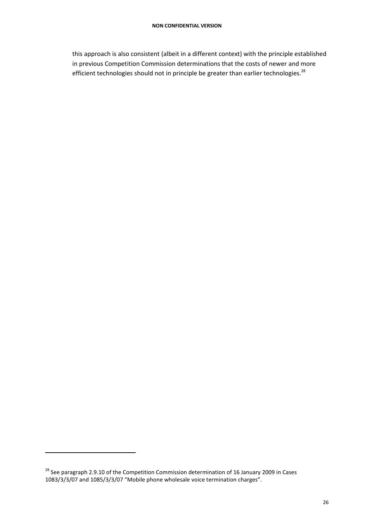this approach is also consistent (albeit in a different context) with the principle established in previous Competition Commission determinations that the costs of newer and more efficient technologies should not in principle be greater than earlier technologies.<sup>28</sup>

 $\overline{a}$ 

<sup>&</sup>lt;sup>28</sup> See paragraph 2.9.10 of the Competition Commission determination of 16 January 2009 in Cases 1083/3/3/07 and 1085/3/3/07 "Mobile phone wholesale voice termination charges".